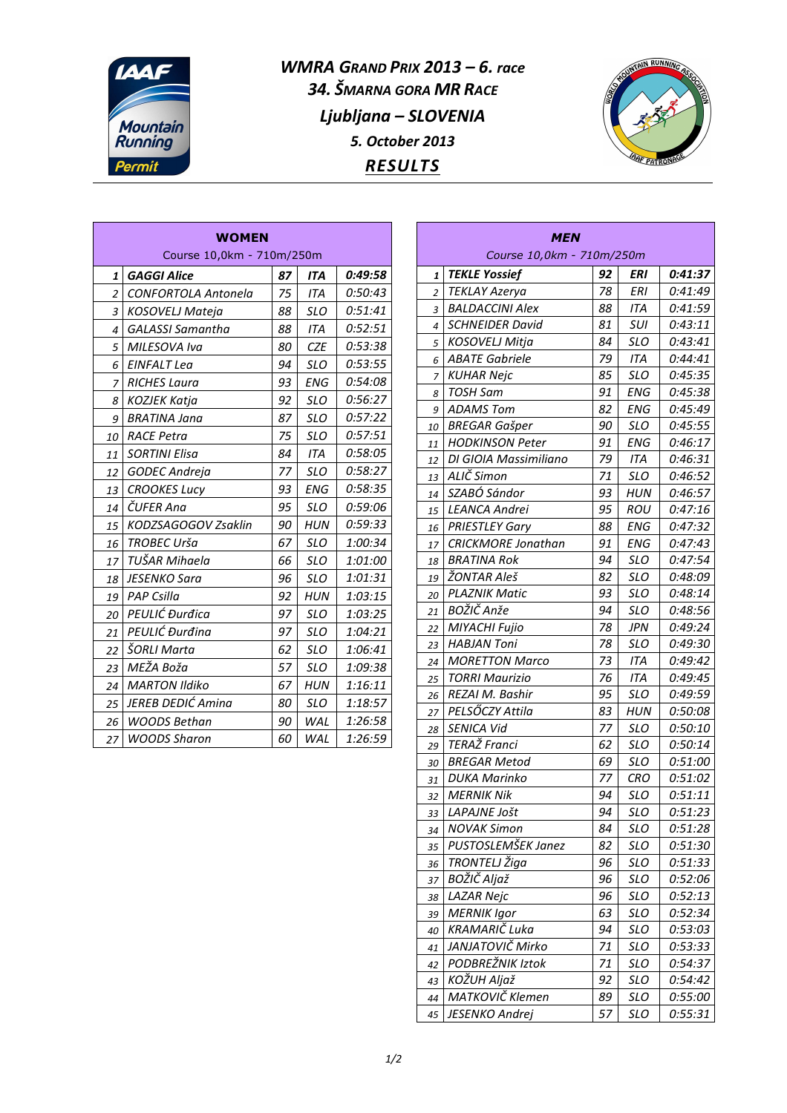

*WMRA GRAND PRIX 2013 – 6. race 34. ŠMARNA GORA MR RACE Ljubljana – SLOVENIA 5. October 2013 RESULTS*



| <b>WOMEN</b><br>Course 10,0km - 710m/250m |                            |    |            |         |  |  |
|-------------------------------------------|----------------------------|----|------------|---------|--|--|
| 1                                         | <b>GAGGI Alice</b>         | 87 | <b>ITA</b> | 0:49:58 |  |  |
| $\overline{a}$                            | <b>CONFORTOLA Antonela</b> | 75 | <b>ITA</b> | 0:50:43 |  |  |
| 3                                         | KOSOVELJ Mateja            | 88 | <b>SLO</b> | 0:51:41 |  |  |
| $\overline{4}$                            | <b>GALASSI Samantha</b>    | 88 | <b>ITA</b> | 0:52:51 |  |  |
| 5                                         | MILESOVA Iva               | 80 | <b>CZE</b> | 0:53:38 |  |  |
| 6                                         | EINFALT Lea                | 94 | SLO        | 0:53:55 |  |  |
| 7                                         | <b>RICHES Laura</b>        | 93 | <b>ENG</b> | 0:54:08 |  |  |
| 8                                         | <b>KOZJEK Katja</b>        | 92 | <b>SLO</b> | 0:56:27 |  |  |
| 9                                         | <b>BRATINA Jana</b>        | 87 | <b>SLO</b> | 0:57:22 |  |  |
| 10                                        | <b>RACE Petra</b>          | 75 | <b>SLO</b> | 0:57:51 |  |  |
| 11                                        | <b>SORTINI Elisa</b>       | 84 | <b>ITA</b> | 0:58:05 |  |  |
| 12                                        | <b>GODEC Andreja</b>       | 77 | <b>SLO</b> | 0:58:27 |  |  |
| 13                                        | <b>CROOKES Lucy</b>        | 93 | <b>ENG</b> | 0:58:35 |  |  |
| 14                                        | ČUFER Ana                  | 95 | <b>SLO</b> | 0:59:06 |  |  |
| 15                                        | KODZSAGOGOV Zsaklin        | 90 | HUN        | 0:59:33 |  |  |
| 16                                        | TROBEC Urša                | 67 | <b>SLO</b> | 1:00:34 |  |  |
| 17                                        | TUŠAR Mihaela              | 66 | <b>SLO</b> | 1:01:00 |  |  |
| 18                                        | JESENKO Sara               | 96 | SLO        | 1:01:31 |  |  |
| 19                                        | <b>PAP Csilla</b>          | 92 | <b>HUN</b> | 1:03:15 |  |  |
| 20                                        | PEULIĆ Đurđica             | 97 | SLO        | 1:03:25 |  |  |
| 21                                        | PEULIĆ Đurđina             | 97 | <b>SLO</b> | 1:04:21 |  |  |
| 22                                        | ŠORLI Marta                | 62 | SLO        | 1:06:41 |  |  |
| 23                                        | MEŽA Boža                  | 57 | <b>SLO</b> | 1:09:38 |  |  |
| 24                                        | <b>MARTON Ildiko</b>       | 67 | <b>HUN</b> | 1:16:11 |  |  |
| 25                                        | JEREB DEDIĆ Amina          | 80 | <b>SLO</b> | 1:18:57 |  |  |
| 26                                        | <b>WOODS Bethan</b>        | 90 | WAL        | 1:26:58 |  |  |
| 27                                        | <b>WOODS Sharon</b>        | 60 | WAL        | 1:26:59 |  |  |

| MEN<br>Course 10,0km - 710m/250m |                               |          |            |                    |  |  |  |
|----------------------------------|-------------------------------|----------|------------|--------------------|--|--|--|
| 1                                | <b>TEKLE Yossief</b>          | 92       | ERI        | 0:41:37            |  |  |  |
| 2                                | <b>TEKLAY Azerya</b>          | 78       | <b>ERI</b> | 0:41:49            |  |  |  |
| 3                                | <b>BALDACCINI Alex</b>        | 88       | ITA        | 0:41:59            |  |  |  |
| 4                                | <b>SCHNEIDER David</b>        | 81       | SUI        | 0:43:11            |  |  |  |
| 5                                | <b>KOSOVELJ Mitja</b>         | 84       | <b>SLO</b> | 0:43:41            |  |  |  |
| 6                                | <b>ABATE Gabriele</b>         | 79       | ITA        | 0:44:41            |  |  |  |
| 7                                | <b>KUHAR Nejc</b>             | 85       | <b>SLO</b> | 0:45:35            |  |  |  |
| 8                                | TOSH Sam                      | 91       | ENG        | 0:45:38            |  |  |  |
| 9                                | <b>ADAMS Tom</b>              | 82       | <b>ENG</b> | 0:45:49            |  |  |  |
| 10                               | <b>BREGAR Gašper</b>          | 90       | <b>SLO</b> | 0:45:55            |  |  |  |
| 11                               | <b>HODKINSON Peter</b>        | 91       | ENG        | 0:46:17            |  |  |  |
| 12                               | DI GIOIA Massimiliano         | 79       | ITA        | 0:46:31            |  |  |  |
| 13                               | ALIČ Simon                    | 71       | SLO        | 0:46:52            |  |  |  |
| 14                               | SZABÓ Sándor                  | 93       | HUN        | 0:46:57            |  |  |  |
| 15                               | <b>LEANCA Andrei</b>          | 95       | ROU        | 0:47:16            |  |  |  |
| 16                               | <b>PRIESTLEY Gary</b>         | 88       | <b>ENG</b> | 0:47:32            |  |  |  |
| 17                               | <b>CRICKMORE Jonathan</b>     | 91       | <b>ENG</b> | 0:47:43            |  |  |  |
| 18                               | <b>BRATINA Rok</b>            | 94       | SLO        | 0:47:54            |  |  |  |
| 19                               | ŽONTAR Aleš                   | 82       | <b>SLO</b> | 0:48:09            |  |  |  |
| 20                               | <b>PLAZNIK Matic</b>          | 93       | <b>SLO</b> | 0:48:14            |  |  |  |
| 21                               | BOŽIČ Anže                    | 94       | SLO        | 0:48:56            |  |  |  |
| 22                               | MIYACHI Fujio                 | 78       | JPN        | 0:49:24            |  |  |  |
| 23                               | <b>HABJAN Toni</b>            | 78       | SLO        | 0:49:30            |  |  |  |
| 24                               | <b>MORETTON Marco</b>         | 73       | ITA        | 0:49:42            |  |  |  |
| 25                               | TORRI Maurizio                | 76       | ITA        | 0:49:45            |  |  |  |
| 26                               | REZAI M. Bashir               | 95       | SLO        | 0:49:59            |  |  |  |
| 27                               | PELSŐCZY Attila<br>SENICA Vid | 83<br>77 | HUN        | 0:50:08            |  |  |  |
| 28                               | TERAŽ Franci                  | 62       | SLO<br>SLO | 0:50:10<br>0:50:14 |  |  |  |
| 29<br>30                         | <b>BREGAR Metod</b>           | 69       | SLO        | 0:51:00            |  |  |  |
| 31                               | <b>DUKA Marinko</b>           | 77       | CRO        | 0:51:02            |  |  |  |
| 32                               | <b>MERNIK Nik</b>             | 94       | SLO        | 0:51:11            |  |  |  |
| 33                               | LAPAJNE Jošt                  | 94       | <b>SLO</b> | 0:51:23            |  |  |  |
| 34                               | <b>NOVAK Simon</b>            | 84       | SLO        | 0:51:28            |  |  |  |
| 35                               | PUSTOSLEMŠEK Janez            | 82       | <b>SLO</b> | 0:51:30            |  |  |  |
| 36                               | TRONTELJ Žiga                 | 96       | <b>SLO</b> | 0:51:33            |  |  |  |
| 37                               | BOŽIČ Aljaž                   | 96       | SLO        | 0:52:06            |  |  |  |
| 38                               | <b>LAZAR Nejc</b>             | 96       | SLO        | 0:52:13            |  |  |  |
| 39                               | <b>MERNIK Igor</b>            | 63       | SLO        | 0:52:34            |  |  |  |
| 40                               | KRAMARIČ Luka                 | 94       | <b>SLO</b> | 0:53:03            |  |  |  |
| 41                               | JANJATOVIČ Mirko              | 71       | <b>SLO</b> | 0:53:33            |  |  |  |
| 42                               | PODBREŽNIK Iztok              | 71       | <b>SLO</b> | 0:54:37            |  |  |  |
| 43                               | KOŽUH Aljaž                   | 92       | <b>SLO</b> | 0:54:42            |  |  |  |
| 44                               | MATKOVIČ Klemen               | 89       | <b>SLO</b> | 0:55:00            |  |  |  |
| 45                               | JESENKO Andrej                | 57       | <b>SLO</b> | 0:55:31            |  |  |  |